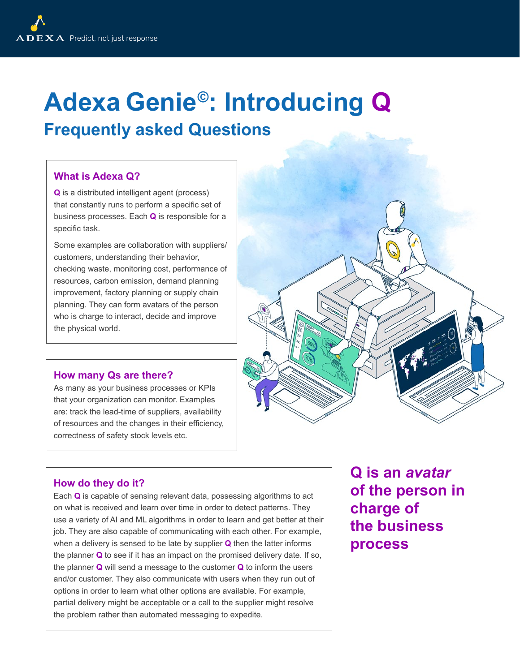# **Adexa Genie©: Introducing Q**

### **Frequently asked Questions**

#### **What is Adexa Q?**

**Q** is a distributed intelligent agent (process) that constantly runs to perform a specific set of business processes. Each **Q** is responsible for a specific task.

Some examples are collaboration with suppliers/ customers, understanding their behavior, checking waste, monitoring cost, performance of resources, carbon emission, demand planning improvement, factory planning or supply chain planning. They can form avatars of the person who is charge to interact, decide and improve the physical world.

#### **How many Qs are there?**

As many as your business processes or KPIs that your organization can monitor. Examples are: track the lead-time of suppliers, availability of resources and the changes in their efficiency, correctness of safety stock levels etc.



#### **How do they do it?**

Each **Q** is capable of sensing relevant data, possessing algorithms to act on what is received and learn over time in order to detect patterns. They use a variety of AI and ML algorithms in order to learn and get better at their job. They are also capable of communicating with each other. For example, when a delivery is sensed to be late by supplier **Q** then the latter informs the planner **Q** to see if it has an impact on the promised delivery date. If so, the planner **Q** will send a message to the customer **Q** to inform the users and/or customer. They also communicate with users when they run out of options in order to learn what other options are available. For example, partial delivery might be acceptable or a call to the supplier might resolve the problem rather than automated messaging to expedite.

**Q is an** *avatar*  **of the person in charge of the business process**